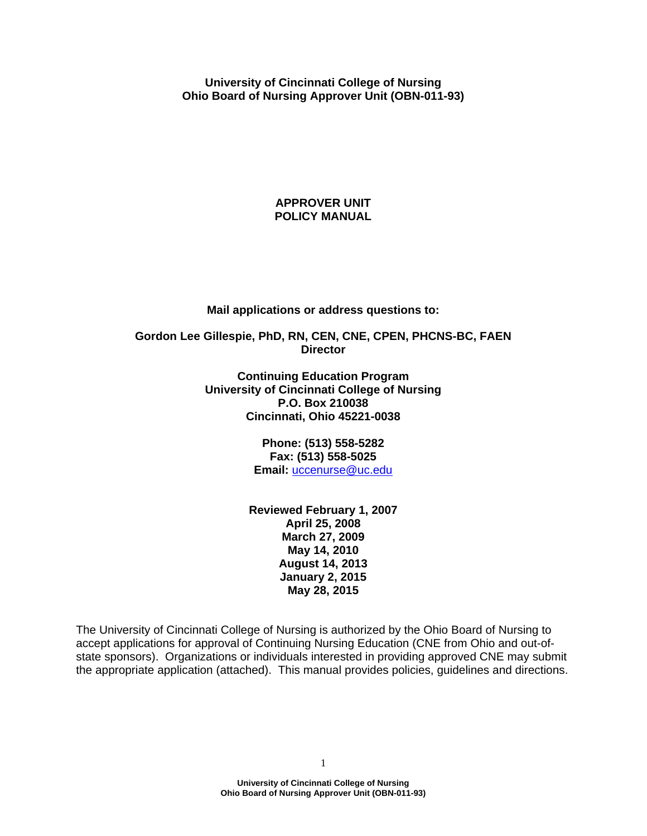**University of Cincinnati College of Nursing Ohio Board of Nursing Approver Unit (OBN-011-93)** 

#### **APPROVER UNIT POLICY MANUAL**

#### **Mail applications or address questions to:**

#### **Gordon Lee Gillespie, PhD, RN, CEN, CNE, CPEN, PHCNS-BC, FAEN Director**

**Continuing Education Program University of Cincinnati College of Nursing P.O. Box 210038 Cincinnati, Ohio 45221-0038** 

> **Phone: (513) 558-5282 Fax: (513) 558-5025 Email:** [uccenurse@uc.edu](mailto:uccenurse@uc.edu)

**Reviewed February 1, 2007 April 25, 2008 March 27, 2009 May 14, 2010 August 14, 2013 January 2, 2015 May 28, 2015** 

The University of Cincinnati College of Nursing is authorized by the Ohio Board of Nursing to accept applications for approval of Continuing Nursing Education (CNE from Ohio and out-ofstate sponsors). Organizations or individuals interested in providing approved CNE may submit the appropriate application (attached). This manual provides policies, guidelines and directions.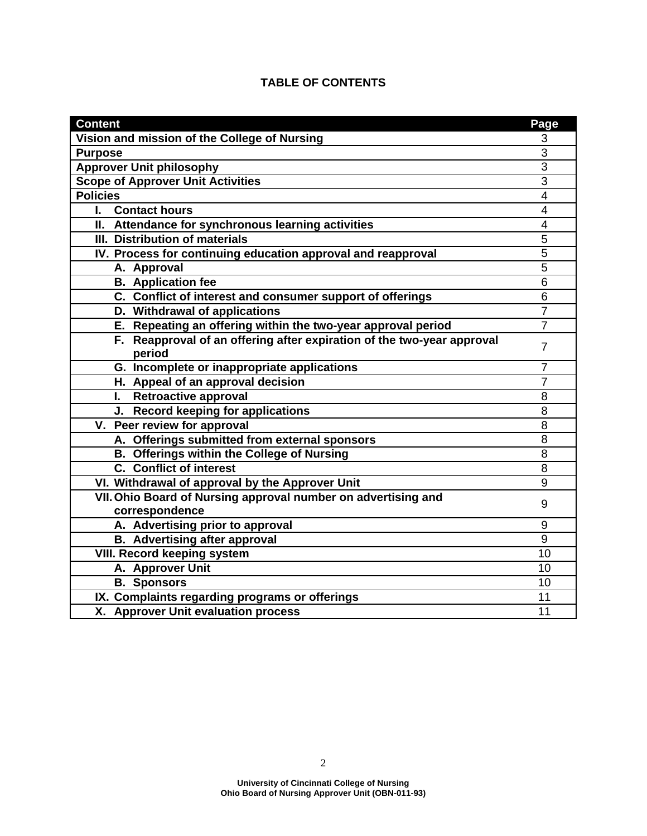| <b>Content</b>                                                                  | Page                    |
|---------------------------------------------------------------------------------|-------------------------|
| Vision and mission of the College of Nursing                                    | 3                       |
| <b>Purpose</b>                                                                  | $\overline{3}$          |
| <b>Approver Unit philosophy</b>                                                 | $\overline{3}$          |
| <b>Scope of Approver Unit Activities</b>                                        | 3                       |
| <b>Policies</b>                                                                 | $\overline{\mathbf{4}}$ |
| <b>Contact hours</b><br>L.                                                      | $\overline{4}$          |
| II. Attendance for synchronous learning activities                              | 4                       |
| III. Distribution of materials                                                  | 5                       |
| IV. Process for continuing education approval and reapproval                    | 5                       |
| A. Approval                                                                     | $\overline{5}$          |
| <b>B.</b> Application fee                                                       | $\overline{6}$          |
| C. Conflict of interest and consumer support of offerings                       | 6                       |
| D. Withdrawal of applications                                                   | $\overline{7}$          |
| E. Repeating an offering within the two-year approval period                    | $\overline{7}$          |
| F. Reapproval of an offering after expiration of the two-year approval          | $\overline{7}$          |
| period                                                                          |                         |
| G. Incomplete or inappropriate applications                                     | $\overline{7}$          |
| H. Appeal of an approval decision                                               | $\overline{7}$          |
| I. Retroactive approval                                                         | 8                       |
| J. Record keeping for applications                                              | 8                       |
| V. Peer review for approval                                                     | 8                       |
| A. Offerings submitted from external sponsors                                   | 8                       |
| <b>B. Offerings within the College of Nursing</b>                               | 8                       |
| <b>C.</b> Conflict of interest                                                  | 8                       |
| VI. Withdrawal of approval by the Approver Unit                                 | 9                       |
| VII. Ohio Board of Nursing approval number on advertising and<br>correspondence | 9                       |
| A. Advertising prior to approval                                                | 9                       |
| <b>B.</b> Advertising after approval                                            | 9                       |
| <b>VIII. Record keeping system</b>                                              | 10                      |
| A. Approver Unit                                                                | 10                      |
| <b>B.</b> Sponsors                                                              | 10                      |
| IX. Complaints regarding programs or offerings                                  | 11                      |
| X. Approver Unit evaluation process                                             | 11                      |

# **TABLE OF CONTENTS**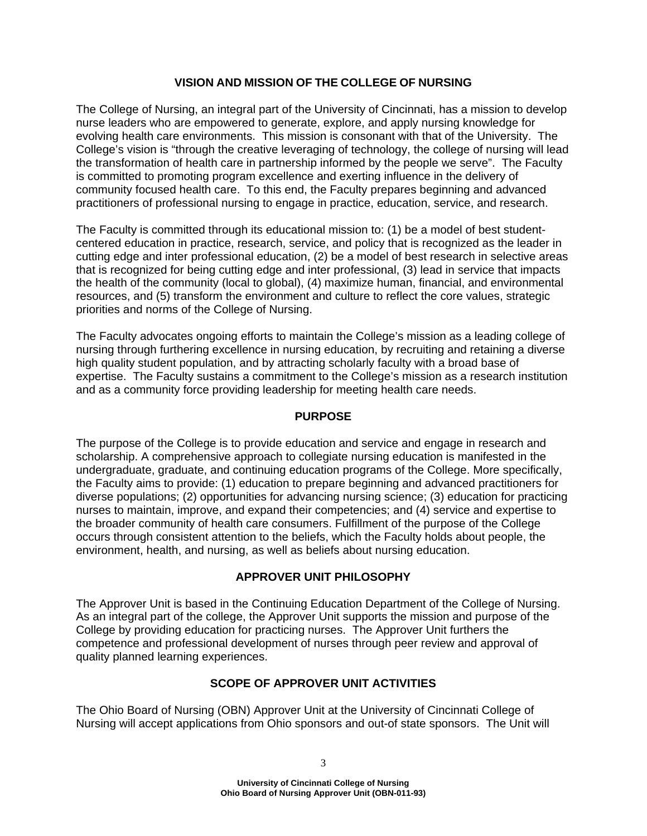# **VISION AND MISSION OF THE COLLEGE OF NURSING**

The College of Nursing, an integral part of the University of Cincinnati, has a mission to develop nurse leaders who are empowered to generate, explore, and apply nursing knowledge for evolving health care environments. This mission is consonant with that of the University. The College's vision is "through the creative leveraging of technology, the college of nursing will lead the transformation of health care in partnership informed by the people we serve". The Faculty is committed to promoting program excellence and exerting influence in the delivery of community focused health care. To this end, the Faculty prepares beginning and advanced practitioners of professional nursing to engage in practice, education, service, and research.

The Faculty is committed through its educational mission to: (1) be a model of best studentcentered education in practice, research, service, and policy that is recognized as the leader in cutting edge and inter professional education, (2) be a model of best research in selective areas that is recognized for being cutting edge and inter professional, (3) lead in service that impacts the health of the community (local to global), (4) maximize human, financial, and environmental resources, and (5) transform the environment and culture to reflect the core values, strategic priorities and norms of the College of Nursing.

The Faculty advocates ongoing efforts to maintain the College's mission as a leading college of nursing through furthering excellence in nursing education, by recruiting and retaining a diverse high quality student population, and by attracting scholarly faculty with a broad base of expertise. The Faculty sustains a commitment to the College's mission as a research institution and as a community force providing leadership for meeting health care needs.

#### **PURPOSE**

The purpose of the College is to provide education and service and engage in research and scholarship. A comprehensive approach to collegiate nursing education is manifested in the undergraduate, graduate, and continuing education programs of the College. More specifically, the Faculty aims to provide: (1) education to prepare beginning and advanced practitioners for diverse populations; (2) opportunities for advancing nursing science; (3) education for practicing nurses to maintain, improve, and expand their competencies; and (4) service and expertise to the broader community of health care consumers. Fulfillment of the purpose of the College occurs through consistent attention to the beliefs, which the Faculty holds about people, the environment, health, and nursing, as well as beliefs about nursing education.

# **APPROVER UNIT PHILOSOPHY**

The Approver Unit is based in the Continuing Education Department of the College of Nursing. As an integral part of the college, the Approver Unit supports the mission and purpose of the College by providing education for practicing nurses. The Approver Unit furthers the competence and professional development of nurses through peer review and approval of quality planned learning experiences.

# **SCOPE OF APPROVER UNIT ACTIVITIES**

The Ohio Board of Nursing (OBN) Approver Unit at the University of Cincinnati College of Nursing will accept applications from Ohio sponsors and out-of state sponsors. The Unit will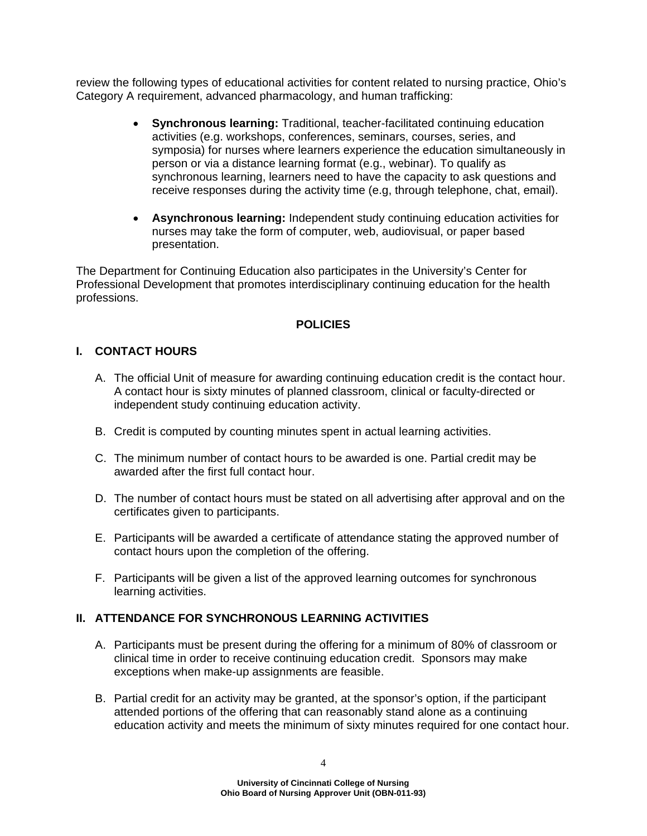review the following types of educational activities for content related to nursing practice, Ohio's Category A requirement, advanced pharmacology, and human trafficking:

- **Synchronous learning:** Traditional, teacher-facilitated continuing education activities (e.g. workshops, conferences, seminars, courses, series, and symposia) for nurses where learners experience the education simultaneously in person or via a distance learning format (e.g., webinar). To qualify as synchronous learning, learners need to have the capacity to ask questions and receive responses during the activity time (e.g, through telephone, chat, email).
- **Asynchronous learning:** Independent study continuing education activities for nurses may take the form of computer, web, audiovisual, or paper based presentation.

The Department for Continuing Education also participates in the University's Center for Professional Development that promotes interdisciplinary continuing education for the health professions.

# **POLICIES**

# **I. CONTACT HOURS**

- A. The official Unit of measure for awarding continuing education credit is the contact hour. A contact hour is sixty minutes of planned classroom, clinical or faculty-directed or independent study continuing education activity.
- B. Credit is computed by counting minutes spent in actual learning activities.
- C. The minimum number of contact hours to be awarded is one. Partial credit may be awarded after the first full contact hour.
- D. The number of contact hours must be stated on all advertising after approval and on the certificates given to participants.
- E. Participants will be awarded a certificate of attendance stating the approved number of contact hours upon the completion of the offering.
- F. Participants will be given a list of the approved learning outcomes for synchronous learning activities.

# **II. ATTENDANCE FOR SYNCHRONOUS LEARNING ACTIVITIES**

- A. Participants must be present during the offering for a minimum of 80% of classroom or clinical time in order to receive continuing education credit. Sponsors may make exceptions when make-up assignments are feasible.
- B. Partial credit for an activity may be granted, at the sponsor's option, if the participant attended portions of the offering that can reasonably stand alone as a continuing education activity and meets the minimum of sixty minutes required for one contact hour.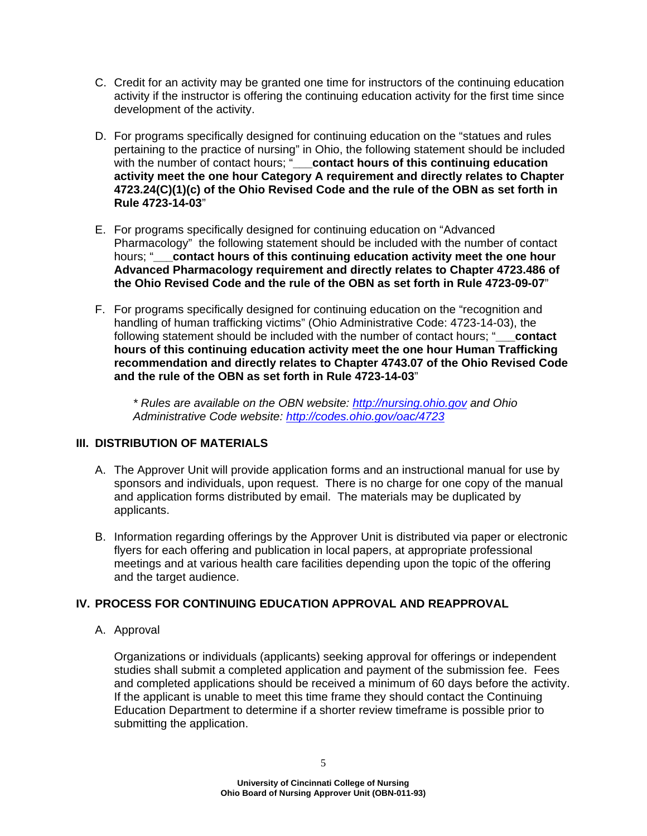- C. Credit for an activity may be granted one time for instructors of the continuing education activity if the instructor is offering the continuing education activity for the first time since development of the activity.
- D. For programs specifically designed for continuing education on the "statues and rules pertaining to the practice of nursing" in Ohio, the following statement should be included with the number of contact hours; "**contact hours of this continuing education activity meet the one hour Category A requirement and directly relates to Chapter 4723.24(C)(1)(c) of the Ohio Revised Code and the rule of the OBN as set forth in Rule 4723-14-03**"
- E. For programs specifically designed for continuing education on "Advanced Pharmacology" the following statement should be included with the number of contact hours; "**\_\_\_contact hours of this continuing education activity meet the one hour Advanced Pharmacology requirement and directly relates to Chapter 4723.486 of the Ohio Revised Code and the rule of the OBN as set forth in Rule 4723-09-07**"
- F. For programs specifically designed for continuing education on the "recognition and handling of human trafficking victims" (Ohio Administrative Code: 4723-14-03), the following statement should be included with the number of contact hours; "**\_\_\_contact hours of this continuing education activity meet the one hour Human Trafficking recommendation and directly relates to Chapter 4743.07 of the Ohio Revised Code and the rule of the OBN as set forth in Rule 4723-14-03**"

*\* Rules are available on the OBN website: <http://nursing.ohio.gov> and Ohio Administrative Code website: <http://codes.ohio.gov/oac/4723>*

# **III. DISTRIBUTION OF MATERIALS**

- A. The Approver Unit will provide application forms and an instructional manual for use by sponsors and individuals, upon request. There is no charge for one copy of the manual and application forms distributed by email. The materials may be duplicated by applicants.
- B. Information regarding offerings by the Approver Unit is distributed via paper or electronic flyers for each offering and publication in local papers, at appropriate professional meetings and at various health care facilities depending upon the topic of the offering and the target audience.

# **IV. PROCESS FOR CONTINUING EDUCATION APPROVAL AND REAPPROVAL**

A. Approval

Organizations or individuals (applicants) seeking approval for offerings or independent studies shall submit a completed application and payment of the submission fee. Fees and completed applications should be received a minimum of 60 days before the activity. If the applicant is unable to meet this time frame they should contact the Continuing Education Department to determine if a shorter review timeframe is possible prior to submitting the application.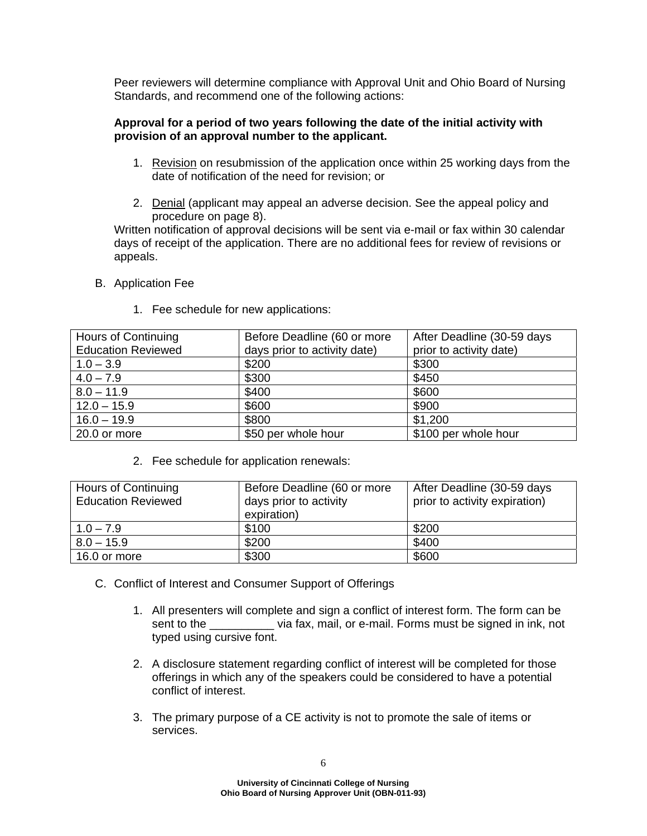Peer reviewers will determine compliance with Approval Unit and Ohio Board of Nursing Standards, and recommend one of the following actions:

### **Approval for a period of two years following the date of the initial activity with provision of an approval number to the applicant.**

- 1. Revision on resubmission of the application once within 25 working days from the date of notification of the need for revision; or
- 2. Denial (applicant may appeal an adverse decision. See the appeal policy and procedure on page 8).

Written notification of approval decisions will be sent via e-mail or fax within 30 calendar days of receipt of the application. There are no additional fees for review of revisions or appeals.

B. Application Fee

| Hours of Continuing       | Before Deadline (60 or more  | After Deadline (30-59 days |
|---------------------------|------------------------------|----------------------------|
| <b>Education Reviewed</b> | days prior to activity date) | prior to activity date)    |
| $1.0 - 3.9$               | \$200                        | \$300                      |
| $4.0 - 7.9$               | \$300                        | \$450                      |
| $8.0 - 11.9$              | \$400                        | \$600                      |
| $12.0 - 15.9$             | \$600                        | \$900                      |
| $16.0 - 19.9$             | \$800                        | \$1,200                    |
| 20.0 or more              | \$50 per whole hour          | \$100 per whole hour       |

1. Fee schedule for new applications:

2. Fee schedule for application renewals:

| <b>Hours of Continuing</b><br><b>Education Reviewed</b> | Before Deadline (60 or more<br>days prior to activity<br>expiration) | After Deadline (30-59 days<br>prior to activity expiration) |
|---------------------------------------------------------|----------------------------------------------------------------------|-------------------------------------------------------------|
| $1.0 - 7.9$                                             | \$100                                                                | \$200                                                       |
| $8.0 - 15.9$                                            | \$200                                                                | \$400                                                       |
| 16.0 or more                                            | \$300                                                                | \$600                                                       |

- C. Conflict of Interest and Consumer Support of Offerings
	- 1. All presenters will complete and sign a conflict of interest form. The form can be sent to the via fax, mail, or e-mail. Forms must be signed in ink, not typed using cursive font.
	- 2. A disclosure statement regarding conflict of interest will be completed for those offerings in which any of the speakers could be considered to have a potential conflict of interest.
	- 3. The primary purpose of a CE activity is not to promote the sale of items or services.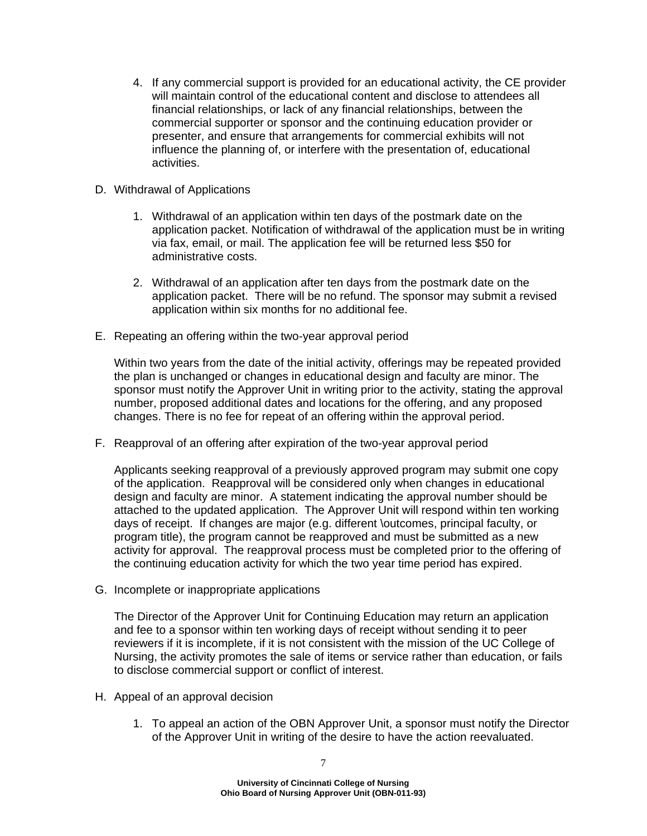- 4. If any commercial support is provided for an educational activity, the CE provider will maintain control of the educational content and disclose to attendees all financial relationships, or lack of any financial relationships, between the commercial supporter or sponsor and the continuing education provider or presenter, and ensure that arrangements for commercial exhibits will not influence the planning of, or interfere with the presentation of, educational activities.
- D. Withdrawal of Applications
	- 1. Withdrawal of an application within ten days of the postmark date on the application packet. Notification of withdrawal of the application must be in writing via fax, email, or mail. The application fee will be returned less \$50 for administrative costs.
	- 2. Withdrawal of an application after ten days from the postmark date on the application packet. There will be no refund. The sponsor may submit a revised application within six months for no additional fee.
- E. Repeating an offering within the two-year approval period

Within two years from the date of the initial activity, offerings may be repeated provided the plan is unchanged or changes in educational design and faculty are minor. The sponsor must notify the Approver Unit in writing prior to the activity, stating the approval number, proposed additional dates and locations for the offering, and any proposed changes. There is no fee for repeat of an offering within the approval period.

F. Reapproval of an offering after expiration of the two-year approval period

Applicants seeking reapproval of a previously approved program may submit one copy of the application. Reapproval will be considered only when changes in educational design and faculty are minor. A statement indicating the approval number should be attached to the updated application. The Approver Unit will respond within ten working days of receipt. If changes are major (e.g. different \outcomes, principal faculty, or program title), the program cannot be reapproved and must be submitted as a new activity for approval. The reapproval process must be completed prior to the offering of the continuing education activity for which the two year time period has expired.

G. Incomplete or inappropriate applications

The Director of the Approver Unit for Continuing Education may return an application and fee to a sponsor within ten working days of receipt without sending it to peer reviewers if it is incomplete, if it is not consistent with the mission of the UC College of Nursing, the activity promotes the sale of items or service rather than education, or fails to disclose commercial support or conflict of interest.

- H. Appeal of an approval decision
	- 1. To appeal an action of the OBN Approver Unit, a sponsor must notify the Director of the Approver Unit in writing of the desire to have the action reevaluated.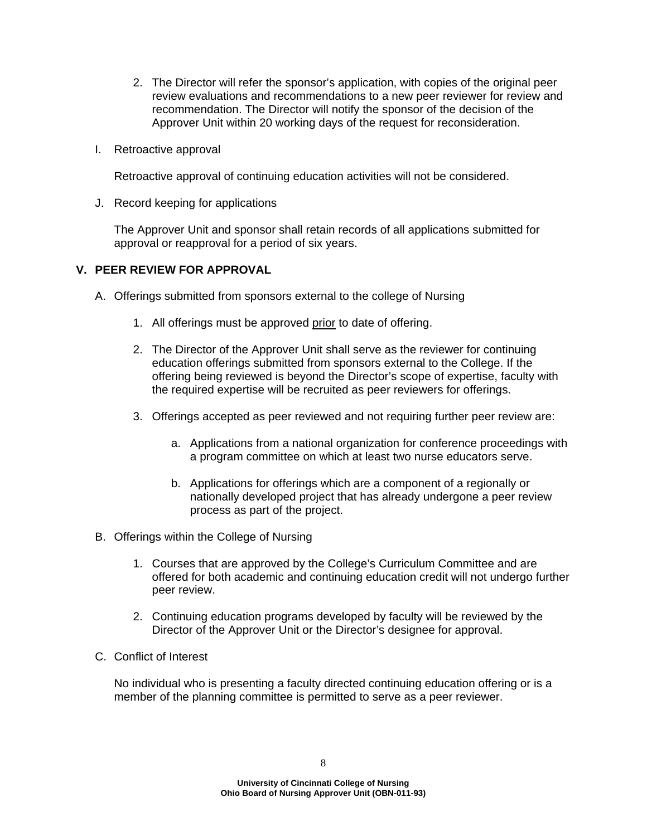- 2. The Director will refer the sponsor's application, with copies of the original peer review evaluations and recommendations to a new peer reviewer for review and recommendation. The Director will notify the sponsor of the decision of the Approver Unit within 20 working days of the request for reconsideration.
- I. Retroactive approval

Retroactive approval of continuing education activities will not be considered.

J. Record keeping for applications

The Approver Unit and sponsor shall retain records of all applications submitted for approval or reapproval for a period of six years.

### **V. PEER REVIEW FOR APPROVAL**

- A. Offerings submitted from sponsors external to the college of Nursing
	- 1. All offerings must be approved prior to date of offering.
	- 2. The Director of the Approver Unit shall serve as the reviewer for continuing education offerings submitted from sponsors external to the College. If the offering being reviewed is beyond the Director's scope of expertise, faculty with the required expertise will be recruited as peer reviewers for offerings.
	- 3. Offerings accepted as peer reviewed and not requiring further peer review are:
		- a. Applications from a national organization for conference proceedings with a program committee on which at least two nurse educators serve.
		- b. Applications for offerings which are a component of a regionally or nationally developed project that has already undergone a peer review process as part of the project.
- B. Offerings within the College of Nursing
	- 1. Courses that are approved by the College's Curriculum Committee and are offered for both academic and continuing education credit will not undergo further peer review.
	- 2. Continuing education programs developed by faculty will be reviewed by the Director of the Approver Unit or the Director's designee for approval.
- C. Conflict of Interest

No individual who is presenting a faculty directed continuing education offering or is a member of the planning committee is permitted to serve as a peer reviewer.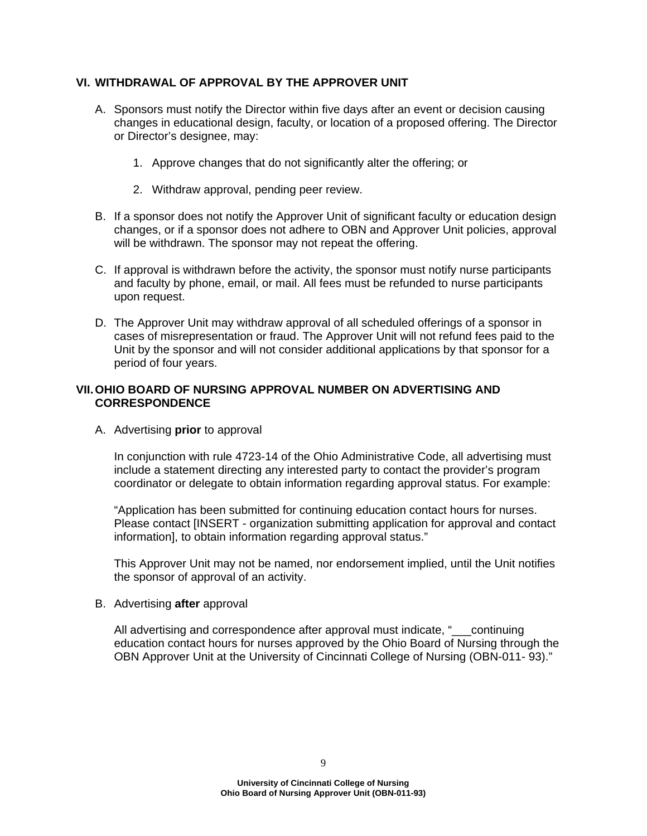# **VI. WITHDRAWAL OF APPROVAL BY THE APPROVER UNIT**

- A. Sponsors must notify the Director within five days after an event or decision causing changes in educational design, faculty, or location of a proposed offering. The Director or Director's designee, may:
	- 1. Approve changes that do not significantly alter the offering; or
	- 2. Withdraw approval, pending peer review.
- B. If a sponsor does not notify the Approver Unit of significant faculty or education design changes, or if a sponsor does not adhere to OBN and Approver Unit policies, approval will be withdrawn. The sponsor may not repeat the offering.
- C. If approval is withdrawn before the activity, the sponsor must notify nurse participants and faculty by phone, email, or mail. All fees must be refunded to nurse participants upon request.
- D. The Approver Unit may withdraw approval of all scheduled offerings of a sponsor in cases of misrepresentation or fraud. The Approver Unit will not refund fees paid to the Unit by the sponsor and will not consider additional applications by that sponsor for a period of four years.

# **VII. OHIO BOARD OF NURSING APPROVAL NUMBER ON ADVERTISING AND CORRESPONDENCE**

A. Advertising **prior** to approval

In conjunction with rule 4723-14 of the Ohio Administrative Code, all advertising must include a statement directing any interested party to contact the provider's program coordinator or delegate to obtain information regarding approval status. For example:

"Application has been submitted for continuing education contact hours for nurses. Please contact [INSERT - organization submitting application for approval and contact information], to obtain information regarding approval status."

This Approver Unit may not be named, nor endorsement implied, until the Unit notifies the sponsor of approval of an activity.

B. Advertising **after** approval

All advertising and correspondence after approval must indicate, "\_\_\_continuing education contact hours for nurses approved by the Ohio Board of Nursing through the OBN Approver Unit at the University of Cincinnati College of Nursing (OBN-011- 93)."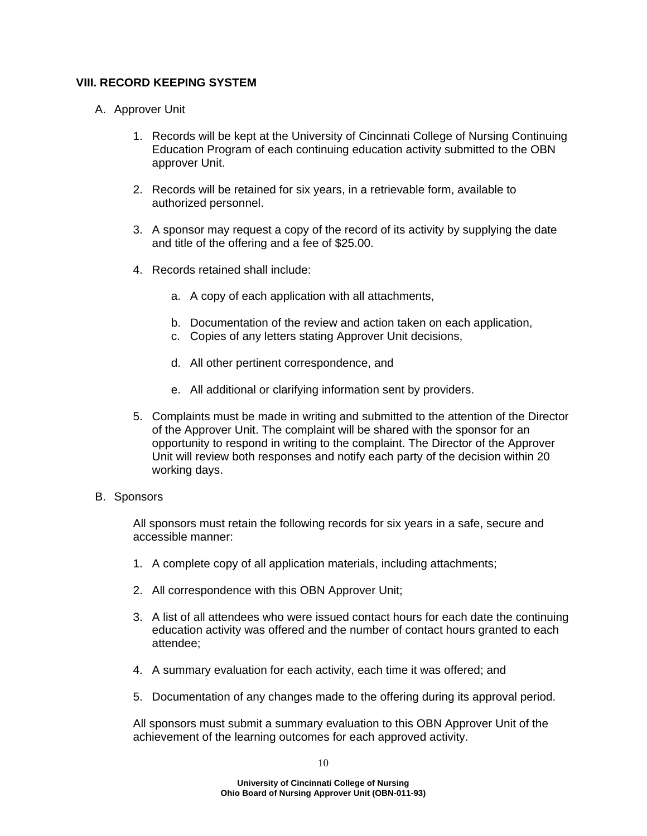## **VIII. RECORD KEEPING SYSTEM**

- A. Approver Unit
	- 1. Records will be kept at the University of Cincinnati College of Nursing Continuing Education Program of each continuing education activity submitted to the OBN approver Unit.
	- 2. Records will be retained for six years, in a retrievable form, available to authorized personnel.
	- 3. A sponsor may request a copy of the record of its activity by supplying the date and title of the offering and a fee of \$25.00.
	- 4. Records retained shall include:
		- a. A copy of each application with all attachments,
		- b. Documentation of the review and action taken on each application,
		- c. Copies of any letters stating Approver Unit decisions,
		- d. All other pertinent correspondence, and
		- e. All additional or clarifying information sent by providers.
	- 5. Complaints must be made in writing and submitted to the attention of the Director of the Approver Unit. The complaint will be shared with the sponsor for an opportunity to respond in writing to the complaint. The Director of the Approver Unit will review both responses and notify each party of the decision within 20 working days.

#### B. Sponsors

All sponsors must retain the following records for six years in a safe, secure and accessible manner:

- 1. A complete copy of all application materials, including attachments;
- 2. All correspondence with this OBN Approver Unit;
- 3. A list of all attendees who were issued contact hours for each date the continuing education activity was offered and the number of contact hours granted to each attendee;
- 4. A summary evaluation for each activity, each time it was offered; and
- 5. Documentation of any changes made to the offering during its approval period.

All sponsors must submit a summary evaluation to this OBN Approver Unit of the achievement of the learning outcomes for each approved activity.